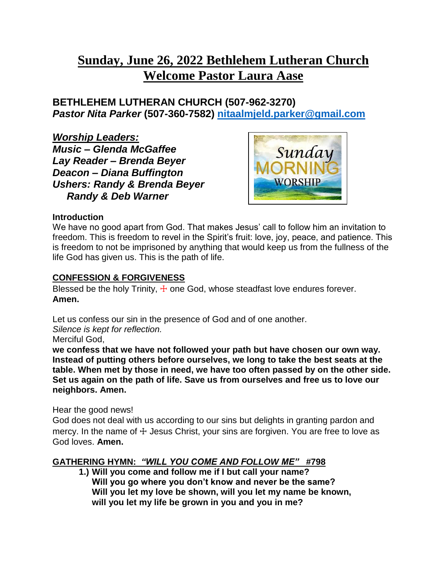# **Sunday, June 26, 2022 Bethlehem Lutheran Church Welcome Pastor Laura Aase**

**BETHLEHEM LUTHERAN CHURCH (507-962-3270)**  *Pastor Nita Parker* **(507-360-7582) [nitaalmjeld.parker@gmail.com](mailto:nitaalmjeld.parker@gmail.com)**

*Worship Leaders: Music – Glenda McGaffee Lay Reader – Brenda Beyer Deacon – Diana Buffington Ushers: Randy & Brenda Beyer Randy & Deb Warner*



## **Introduction**

We have no good apart from God. That makes Jesus' call to follow him an invitation to freedom. This is freedom to revel in the Spirit's fruit: love, joy, peace, and patience. This is freedom to not be imprisoned by anything that would keep us from the fullness of the life God has given us. This is the path of life.

## **CONFESSION & FORGIVENESS**

Blessed be the holy Trinity,  $\pm$  one God, whose steadfast love endures forever. **Amen.**

Let us confess our sin in the presence of God and of one another.

*Silence is kept for reflection.*

Merciful God,

**we confess that we have not followed your path but have chosen our own way. Instead of putting others before ourselves, we long to take the best seats at the table. When met by those in need, we have too often passed by on the other side. Set us again on the path of life. Save us from ourselves and free us to love our neighbors. Amen.**

Hear the good news!

God does not deal with us according to our sins but delights in granting pardon and mercy. In the name of  $\pm$  Jesus Christ, your sins are forgiven. You are free to love as God loves. **Amen.**

# **GATHERING HYMN:** *"WILL YOU COME AND FOLLOW ME"* **#798**

**1.) Will you come and follow me if I but call your name? Will you go where you don't know and never be the same? Will you let my love be shown, will you let my name be known, will you let my life be grown in you and you in me?**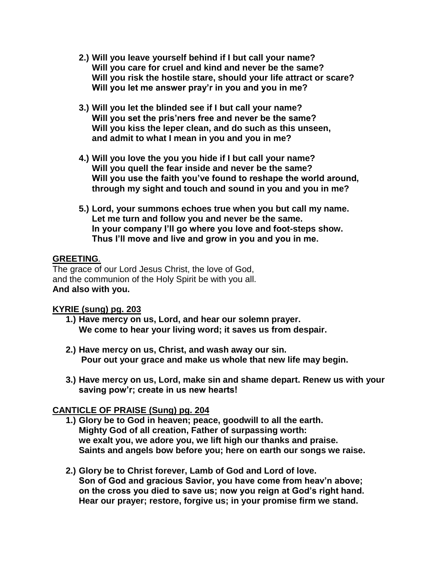- **2.) Will you leave yourself behind if I but call your name? Will you care for cruel and kind and never be the same? Will you risk the hostile stare, should your life attract or scare? Will you let me answer pray'r in you and you in me?**
- **3.) Will you let the blinded see if I but call your name? Will you set the pris'ners free and never be the same? Will you kiss the leper clean, and do such as this unseen, and admit to what I mean in you and you in me?**
- **4.) Will you love the you you hide if I but call your name? Will you quell the fear inside and never be the same? Will you use the faith you've found to reshape the world around, through my sight and touch and sound in you and you in me?**
- **5.) Lord, your summons echoes true when you but call my name. Let me turn and follow you and never be the same. In your company I'll go where you love and foot-steps show. Thus I'll move and live and grow in you and you in me.**

## **GREETING***.*

The grace of our Lord Jesus Christ, the love of God, and the communion of the Holy Spirit be with you all. **And also with you.**

## **KYRIE (sung) pg. 203**

- **1.) Have mercy on us, Lord, and hear our solemn prayer. We come to hear your living word; it saves us from despair.**
- **2.) Have mercy on us, Christ, and wash away our sin. Pour out your grace and make us whole that new life may begin.**
- **3.) Have mercy on us, Lord, make sin and shame depart. Renew us with your saving pow'r; create in us new hearts!**

## **CANTICLE OF PRAISE (Sung) pg. 204**

- **1.) Glory be to God in heaven; peace, goodwill to all the earth. Mighty God of all creation, Father of surpassing worth: we exalt you, we adore you, we lift high our thanks and praise. Saints and angels bow before you; here on earth our songs we raise.**
- **2.) Glory be to Christ forever, Lamb of God and Lord of love. Son of God and gracious Savior, you have come from heav'n above; on the cross you died to save us; now you reign at God's right hand. Hear our prayer; restore, forgive us; in your promise firm we stand.**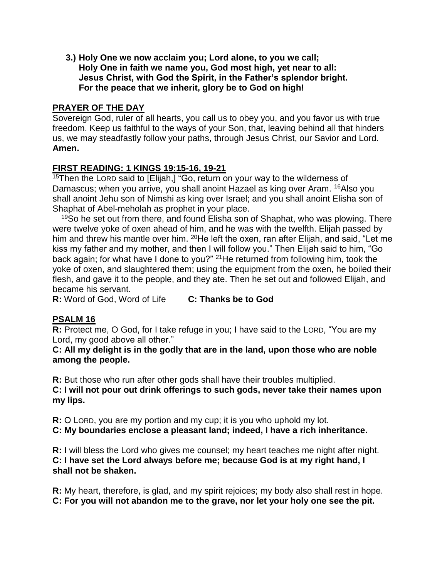**3.) Holy One we now acclaim you; Lord alone, to you we call; Holy One in faith we name you, God most high, yet near to all: Jesus Christ, with God the Spirit, in the Father's splendor bright. For the peace that we inherit, glory be to God on high!**

## **PRAYER OF THE DAY**

Sovereign God, ruler of all hearts, you call us to obey you, and you favor us with true freedom. Keep us faithful to the ways of your Son, that, leaving behind all that hinders us, we may steadfastly follow your paths, through Jesus Christ, our Savior and Lord. **Amen.**

## **FIRST READING: 1 KINGS 19:15-16, 19-21**

<sup>15</sup>Then the LORD said to [Elijah,] "Go, return on your way to the wilderness of Damascus; when you arrive, you shall anoint Hazael as king over Aram. <sup>16</sup>Also you shall anoint Jehu son of Nimshi as king over Israel; and you shall anoint Elisha son of Shaphat of Abel-meholah as prophet in your place.

<sup>19</sup>So he set out from there, and found Elisha son of Shaphat, who was plowing. There were twelve yoke of oxen ahead of him, and he was with the twelfth. Elijah passed by him and threw his mantle over him. <sup>20</sup>He left the oxen, ran after Elijah, and said, "Let me kiss my father and my mother, and then I will follow you." Then Elijah said to him, "Go back again; for what have I done to you?" <sup>21</sup>He returned from following him, took the yoke of oxen, and slaughtered them; using the equipment from the oxen, he boiled their flesh, and gave it to the people, and they ate. Then he set out and followed Elijah, and became his servant.

**R:** Word of God, Word of Life **C: Thanks be to God**

## **PSALM 16**

**R:** Protect me, O God, for I take refuge in you; I have said to the LORD, "You are my Lord, my good above all other."

**C: All my delight is in the godly that are in the land, upon those who are noble among the people.**

**R:** But those who run after other gods shall have their troubles multiplied. **C: I will not pour out drink offerings to such gods, never take their names upon** 

**my lips.**

**R:** O LORD, you are my portion and my cup; it is you who uphold my lot.

**C: My boundaries enclose a pleasant land; indeed, I have a rich inheritance.**

**R:** I will bless the Lord who gives me counsel; my heart teaches me night after night. **C: I have set the Lord always before me; because God is at my right hand, I shall not be shaken.**

**R:** My heart, therefore, is glad, and my spirit rejoices; my body also shall rest in hope. **C: For you will not abandon me to the grave, nor let your holy one see the pit.**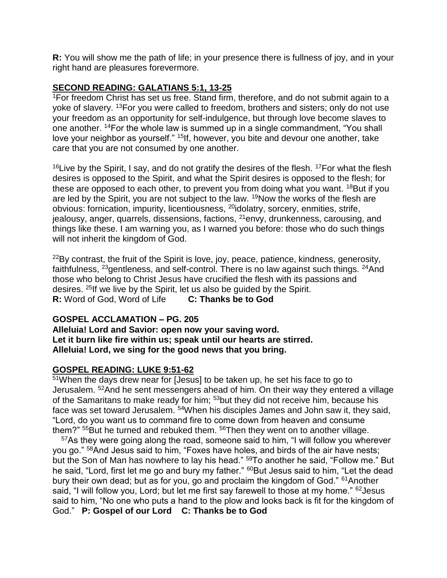**R:** You will show me the path of life; in your presence there is fullness of joy, and in your right hand are pleasures forevermore.

## **SECOND READING: GALATIANS 5:1, 13-25**

<sup>1</sup>For freedom Christ has set us free. Stand firm, therefore, and do not submit again to a yoke of slavery. <sup>13</sup>For you were called to freedom, brothers and sisters; only do not use your freedom as an opportunity for self-indulgence, but through love become slaves to one another. <sup>14</sup>For the whole law is summed up in a single commandment, "You shall love your neighbor as yourself." <sup>15</sup>If, however, you bite and devour one another, take care that you are not consumed by one another.

<sup>16</sup> Live by the Spirit, I say, and do not gratify the desires of the flesh. <sup>17</sup> For what the flesh desires is opposed to the Spirit, and what the Spirit desires is opposed to the flesh; for these are opposed to each other, to prevent you from doing what you want.  $18$ But if you are led by the Spirit, you are not subject to the law. <sup>19</sup>Now the works of the flesh are obvious: fornication, impurity, licentiousness, <sup>20</sup>idolatry, sorcery, enmities, strife, jealousy, anger, quarrels, dissensions, factions, <sup>21</sup>envy, drunkenness, carousing, and things like these. I am warning you, as I warned you before: those who do such things will not inherit the kingdom of God.

 $^{22}$ By contrast, the fruit of the Spirit is love, joy, peace, patience, kindness, generosity, faithfulness, <sup>23</sup> gentleness, and self-control. There is no law against such things. <sup>24</sup>And those who belong to Christ Jesus have crucified the flesh with its passions and desires. <sup>25</sup>If we live by the Spirit, let us also be guided by the Spirit. **R:** Word of God, Word of Life **C: Thanks be to God**

## **GOSPEL ACCLAMATION – PG. 205**

**Alleluia! Lord and Savior: open now your saving word. Let it burn like fire within us; speak until our hearts are stirred. Alleluia! Lord, we sing for the good news that you bring.**

# **GOSPEL READING: LUKE 9:51-62**

<sup>51</sup>When the days drew near for [Jesus] to be taken up, he set his face to go to Jerusalem. <sup>52</sup>And he sent messengers ahead of him. On their way they entered a village of the Samaritans to make ready for him; <sup>53</sup>but they did not receive him, because his face was set toward Jerusalem. <sup>54</sup>When his disciples James and John saw it, they said, "Lord, do you want us to command fire to come down from heaven and consume them?" <sup>55</sup>But he turned and rebuked them. <sup>56</sup>Then they went on to another village.

<sup>57</sup>As they were going along the road, someone said to him, "I will follow you wherever you go." <sup>58</sup>And Jesus said to him, "Foxes have holes, and birds of the air have nests; but the Son of Man has nowhere to lay his head." <sup>59</sup>To another he said, "Follow me." But he said, "Lord, first let me go and bury my father." <sup>60</sup>But Jesus said to him, "Let the dead bury their own dead; but as for you, go and proclaim the kingdom of God." <sup>61</sup>Another said, "I will follow you, Lord; but let me first say farewell to those at my home." <sup>62</sup>Jesus said to him, "No one who puts a hand to the plow and looks back is fit for the kingdom of God." **P: Gospel of our Lord C: Thanks be to God**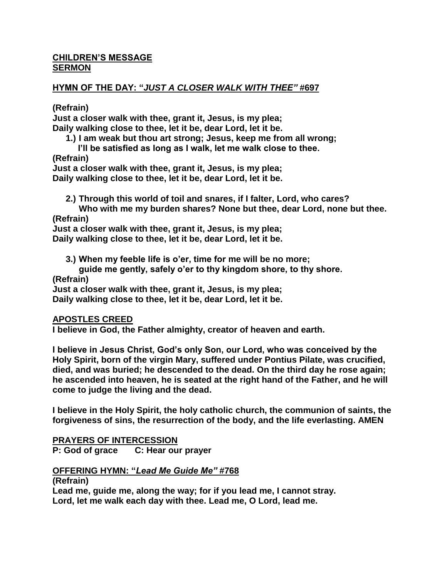## **CHILDREN'S MESSAGE SERMON**

## **HYMN OF THE DAY: "***JUST A CLOSER WALK WITH THEE"* **#697**

#### **(Refrain)**

**Just a closer walk with thee, grant it, Jesus, is my plea; Daily walking close to thee, let it be, dear Lord, let it be.**

- **1.) I am weak but thou art strong; Jesus, keep me from all wrong;**
	- **I'll be satisfied as long as I walk, let me walk close to thee.**

**(Refrain)**

**Just a closer walk with thee, grant it, Jesus, is my plea; Daily walking close to thee, let it be, dear Lord, let it be.**

**2.) Through this world of toil and snares, if I falter, Lord, who cares?**

**Who with me my burden shares? None but thee, dear Lord, none but thee. (Refrain)**

**Just a closer walk with thee, grant it, Jesus, is my plea; Daily walking close to thee, let it be, dear Lord, let it be.**

**3.) When my feeble life is o'er, time for me will be no more;**

**guide me gently, safely o'er to thy kingdom shore, to thy shore.**

## **(Refrain)**

**Just a closer walk with thee, grant it, Jesus, is my plea; Daily walking close to thee, let it be, dear Lord, let it be.**

# **APOSTLES CREED**

**I believe in God, the Father almighty, creator of heaven and earth.**

**I believe in Jesus Christ, God's only Son, our Lord, who was conceived by the Holy Spirit, born of the virgin Mary, suffered under Pontius Pilate, was crucified, died, and was buried; he descended to the dead. On the third day he rose again; he ascended into heaven, he is seated at the right hand of the Father, and he will come to judge the living and the dead.**

**I believe in the Holy Spirit, the holy catholic church, the communion of saints, the forgiveness of sins, the resurrection of the body, and the life everlasting. AMEN**

**PRAYERS OF INTERCESSION**

**P: God of grace C: Hear our prayer**

# **OFFERING HYMN: "***Lead Me Guide Me"* **#768**

**(Refrain)**

**Lead me, guide me, along the way; for if you lead me, I cannot stray. Lord, let me walk each day with thee. Lead me, O Lord, lead me.**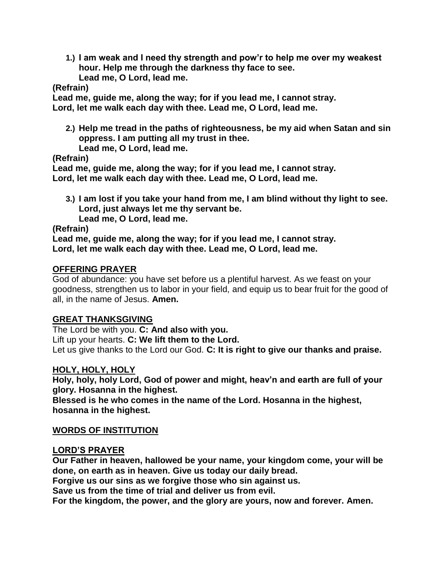**1.) I am weak and I need thy strength and pow'r to help me over my weakest hour. Help me through the darkness thy face to see. Lead me, O Lord, lead me.**

## **(Refrain)**

**Lead me, guide me, along the way; for if you lead me, I cannot stray. Lord, let me walk each day with thee. Lead me, O Lord, lead me.**

**2.) Help me tread in the paths of righteousness, be my aid when Satan and sin oppress. I am putting all my trust in thee. Lead me, O Lord, lead me.**

**(Refrain)**

**Lead me, guide me, along the way; for if you lead me, I cannot stray. Lord, let me walk each day with thee. Lead me, O Lord, lead me.**

**3.) I am lost if you take your hand from me, I am blind without thy light to see. Lord, just always let me thy servant be. Lead me, O Lord, lead me.**

**(Refrain)**

**Lead me, guide me, along the way; for if you lead me, I cannot stray. Lord, let me walk each day with thee. Lead me, O Lord, lead me.**

# **OFFERING PRAYER**

God of abundance: you have set before us a plentiful harvest. As we feast on your goodness, strengthen us to labor in your field, and equip us to bear fruit for the good of all, in the name of Jesus. **Amen.**

# **GREAT THANKSGIVING**

The Lord be with you. **C: And also with you.** Lift up your hearts. **C: We lift them to the Lord.** Let us give thanks to the Lord our God. **C: It is right to give our thanks and praise.**

# **HOLY, HOLY, HOLY**

**Holy, holy, holy Lord, God of power and might, heav'n and earth are full of your glory. Hosanna in the highest.**

**Blessed is he who comes in the name of the Lord. Hosanna in the highest, hosanna in the highest.**

## **WORDS OF INSTITUTION**

## **LORD'S PRAYER**

**Our Father in heaven, hallowed be your name, your kingdom come, your will be done, on earth as in heaven. Give us today our daily bread.**

**Forgive us our sins as we forgive those who sin against us.**

**Save us from the time of trial and deliver us from evil.**

**For the kingdom, the power, and the glory are yours, now and forever. Amen.**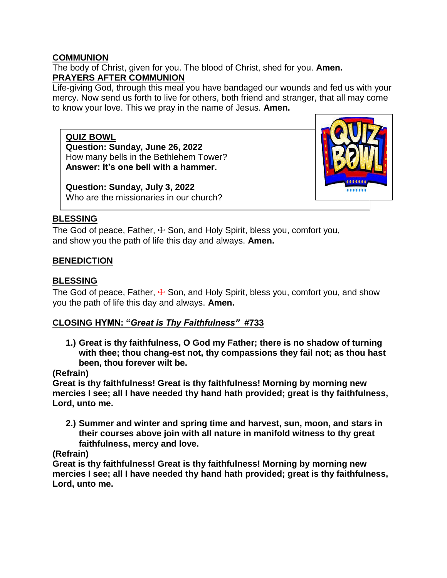## **COMMUNION**

The body of Christ, given for you. The blood of Christ, shed for you. **Amen. PRAYERS AFTER COMMUNION**

Life-giving God, through this meal you have bandaged our wounds and fed us with your mercy. Now send us forth to live for others, both friend and stranger, that all may come to know your love. This we pray in the name of Jesus. **Amen.**

## **QUIZ BOWL**

**Question: Sunday, June 26, 2022** How many bells in the Bethlehem Tower? **Answer: It's one bell with a hammer.**

**Question: Sunday, July 3, 2022** Who are the missionaries in our church?



## **BLESSING**

The God of peace, Father,  $\pm$  Son, and Holy Spirit, bless you, comfort you, and show you the path of life this day and always. **Amen.**

## **BENEDICTION**

## **BLESSING**

The God of peace, Father,  $\pm$  Son, and Holy Spirit, bless you, comfort you, and show you the path of life this day and always. **Amen.**

## **CLOSING HYMN: "***Great is Thy Faithfulness"* **#733**

**1.) Great is thy faithfulness, O God my Father; there is no shadow of turning with thee; thou chang-est not, thy compassions they fail not; as thou hast been, thou forever wilt be.**

## **(Refrain)**

**Great is thy faithfulness! Great is thy faithfulness! Morning by morning new mercies I see; all I have needed thy hand hath provided; great is thy faithfulness, Lord, unto me.**

**2.) Summer and winter and spring time and harvest, sun, moon, and stars in their courses above join with all nature in manifold witness to thy great faithfulness, mercy and love.**

## **(Refrain)**

**Great is thy faithfulness! Great is thy faithfulness! Morning by morning new mercies I see; all I have needed thy hand hath provided; great is thy faithfulness, Lord, unto me.**